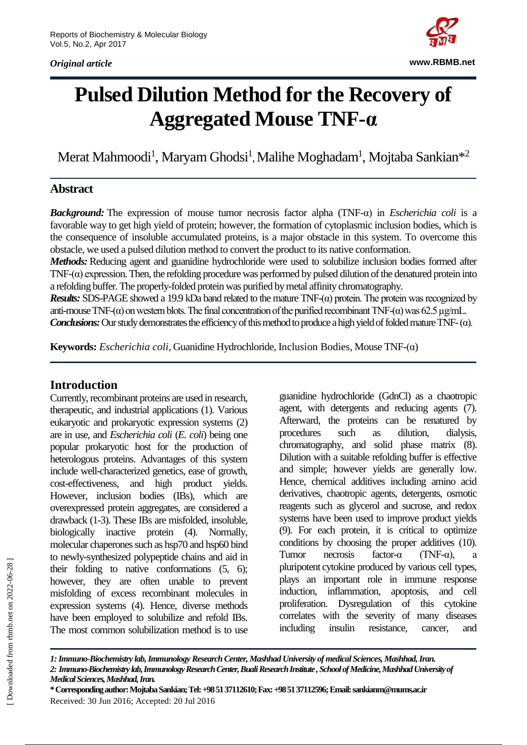*Original article*



# **Pulsed Dilution Method for the Recovery of Aggregated Mouse TNF-α**

Merat Mahmoodi<sup>1</sup>, Maryam Ghodsi<sup>1</sup>, Malihe Moghadam<sup>1</sup>, Mojtaba Sankian $^{\ast 2}$ 

### **Abstract**

*Background:* The expression of mouse tumor necrosis factor alpha (TNF-α) in *Escherichia coli* is a favorable way to get high yield of protein; however, the formation of cytoplasmic inclusion bodies, which is the consequence of insoluble accumulated proteins, is a major obstacle in this system. To overcome this obstacle, we used a pulsed dilution method to convert the product to its native conformation.

*Methods:* Reducing agent and guanidine hydrochloride were used to solubilize inclusion bodies formed after TNF- $(\alpha)$  expression. Then, the refolding procedure was performed by pulsed dilution of the denatured protein into a refolding buffer. The properly-folded protein was purified by metal affinity chromatography.

*Results:* SDS-PAGE showed a 19.9 kDa band related to the mature TNF-(α) protein. The protein was recognized by anti-mouse TNF-( $\alpha$ ) on western blots. The final concentration of the purified recombinant TNF-( $\alpha$ ) was 62.5 µg/mL.

*Conclusions:* Our study demonstrates the efficiency of this method to produce a high yield of folded mature TNF- $(\alpha)$ .

**Keywords:** *Escherichia coli*, Guanidine Hydrochloride, Inclusion Bodies, Mouse TNF-(α)

### **Introduction**

Currently, recombinant proteins are used in research, therapeutic, and industrial applications (1). Various eukaryotic and prokaryotic expression systems (2) are in use, and *Escherichia coli* (*E. coli*) being one popular prokaryotic host for the production of heterologous proteins. Advantages of this system include well-characterized genetics, ease of growth, cost-effectiveness, and high product yields. However, inclusion bodies (IBs), which are overexpressed protein aggregates, are considered a drawback (1-3). These IBs are misfolded, insoluble, biologically inactive protein (4). Normally, molecular chaperones such as hsp70 and hsp60 bind to newly-synthesized polypeptide chains and aid in their folding to native conformations (5, 6); however, they are often unable to prevent misfolding of excess recombinant molecules in expression systems (4). Hence, diverse methods have been employed to solubilize and refold IBs. The most common solubilization method is to use

guanidine hydrochloride (GdnCl) as a chaotropic agent, with detergents and reducing agents (7). Afterward, the proteins can be renatured by procedures such as dilution, dialysis, chromatography, and solid phase matrix (8). Dilution with a suitable refolding buffer is effective and simple; however yields are generally low. Hence, chemical additives including amino acid derivatives, chaotropic agents, detergents, osmotic reagents such as glycerol and sucrose, and redox systems have been used to improve product yields (9). For each protein, it is critical to optimize conditions by choosing the proper additives (10). Tumor necrosis factor-α (TNF-α), a pluripotent cytokine produced by various cell types, plays an important role in immune response induction, inflammation, apoptosis, and cell proliferation. Dysregulation of this cytokine correlates with the severity of many diseases including insulin resistance, cancer, and

*<sup>1:</sup> Immuno-Biochemistry lab, Immunology ResearchCenter, Mashhad University of medical Sciences, Mashhad, Iran. 2: Immuno-Biochemistry lab, Immunology Research Center, Buali Research Institute , School of Medicine, Mashhad University of Medical Sciences, Mashhad, Iran.* 

**<sup>\*</sup> Corresponding author: Mojtaba Sankian; Tel: +98 51 37112610; Fax: +98 51 37112596;Email: sankianm@mums.ac.ir** Received: 30 Jun 2016; Accepted: 20 Jul 2016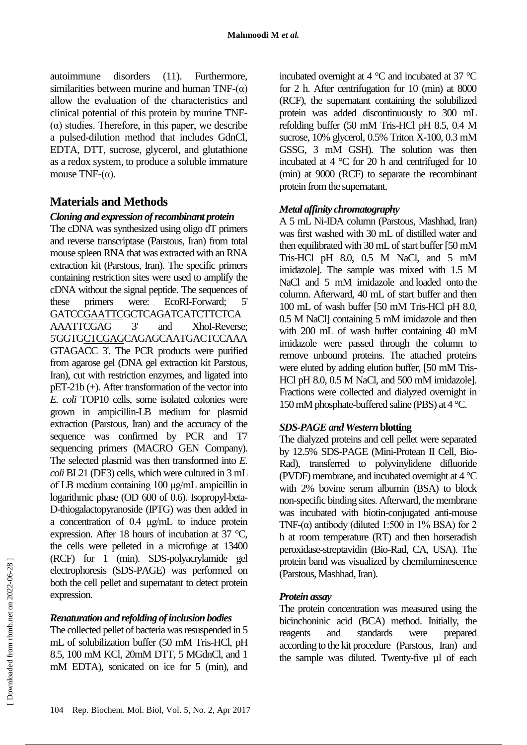autoimmune disorders (11). Furthermore, similarities between murine and human TNF- $(\alpha)$ allow the evaluation of the characteristics and clinical potential of this protein by murine TNF- (α) studies. Therefore, in this paper, we describe a pulsed-dilution method that includes GdnCl, EDTA, DTT, sucrose, glycerol, and glutathione as a redox system, to produce a soluble immature mouse TNF- $(\alpha)$ .

## **Materials and Methods**

#### *Cloning and expression of recombinant protein*

The cDNA was synthesized using oligo dT primers and reverse transcriptase (Parstous, Iran) from total mouse spleen RNA that was extracted with an RNA extraction kit (Parstous, Iran). The specific primers containing restriction sites were used to amplify the cDNA without the signal peptide. The sequences of these primers were: EcoRI-Forward; 5' GATCCGAATTCGCTCAGATCATCTTCTCA AAATTCGAG 3' and XhoI-Reverse; 5'GGTGCTCGAGCAGAGCAATGACTCCAAA GTAGACC 3'. The PCR products were purified from agarose gel (DNA gel extraction kit Parstous, Iran), cut with restriction enzymes, and ligated into pET-21b (+). After transformation of the vector into *E. coli* TOP10 cells, some isolated colonies were grown in ampicillin-LB medium for plasmid extraction (Parstous, Iran) and the accuracy of the sequence was confirmed by PCR and T7 sequencing primers (MACRO GEN Company). The selected plasmid was then transformed into *E. coli* BL21 (DE3) cells, which were cultured in 3 mL of LB medium containing 100 μg/mL ampicillin in logarithmic phase (OD 600 of 0.6). Isopropyl-beta-D-thiogalactopyranoside (IPTG) was then added in a concentration of 0.4 μg/mL to induce protein expression. After 18 hours of incubation at 37 °C, the cells were pelleted in a microfuge at 13400 (RCF) for 1 (min). SDS-polyacrylamide gel electrophoresis (SDS-PAGE) was performed on both the cell pellet and supernatant to detect protein expression.

#### *Renaturation and refolding of inclusion bodies*

The collected pellet of bacteria was resuspended in 5 mL of solubilization buffer (50 mM Tris-HCl, pH 8.5, 100 mM KCl, 20mM DTT, 5 MGdnCl, and 1 mM EDTA), sonicated on ice for 5 (min), and incubated overnight at 4 °C and incubated at 37 °C for 2 h. After centrifugation for 10 (min) at 8000 (RCF), the supernatant containing the solubilized protein was added discontinuously to 300 mL refolding buffer (50 mM Tris-HCl pH 8.5, 0.4 M sucrose, 10% glycerol, 0.5% Triton X-100, 0.3 mM GSSG, 3 mM GSH). The solution was then incubated at 4 °C for 20 h and centrifuged for 10 (min) at 9000 (RCF) to separate the recombinant protein from the supernatant.

#### *Metal affinity chromatography*

A 5 mL Ni-IDA column (Parstous, Mashhad, Iran) was first washed with 30 mL of distilled water and then equilibrated with 30 mL of start buffer [50 mM Tris-HCl pH 8.0, 0.5 M NaCl, and 5 mM imidazole]. The sample was mixed with 1.5 M NaCl and 5 mM imidazole and loaded onto the column. Afterward, 40 mL of start buffer and then 100 mL of wash buffer [50 mM Tris-HCl pH 8.0, 0.5 M NaCl] containing 5 mM imidazole and then with 200 mL of wash buffer containing 40 mM imidazole were passed through the column to remove unbound proteins. The attached proteins were eluted by adding elution buffer, [50 mM Tris-HCl pH 8.0, 0.5 M NaCl, and 500 mM imidazole]. Fractions were collected and dialyzed overnight in 150 mM phosphate-buffered saline (PBS) at 4 °C.

#### *SDS-PAGE and Western* **blotting**

The dialyzed proteins and cell pellet were separated by 12.5% SDS-PAGE (Mini-Protean II Cell, Bio-Rad), transferred to polyvinylidene difluoride (PVDF) membrane, and incubated overnight at 4 °C with 2% bovine serum albumin (BSA) to block non-specific binding sites. Afterward, the membrane was incubated with biotin-conjugated anti-mouse TNF- $(\alpha)$  antibody (diluted 1:500 in 1% BSA) for 2 h at room temperature (RT) and then horseradish peroxidase-streptavidin (Bio-Rad, CA, USA). The protein band was visualized by chemiluminescence (Parstous, Mashhad, Iran).

#### *Protein assay*

The protein concentration was measured using the bicinchoninic acid (BCA) method. Initially, the reagents and standards were prepared according to the kit procedure (Parstous, Iran) and the sample was diluted. Twenty-five µl of each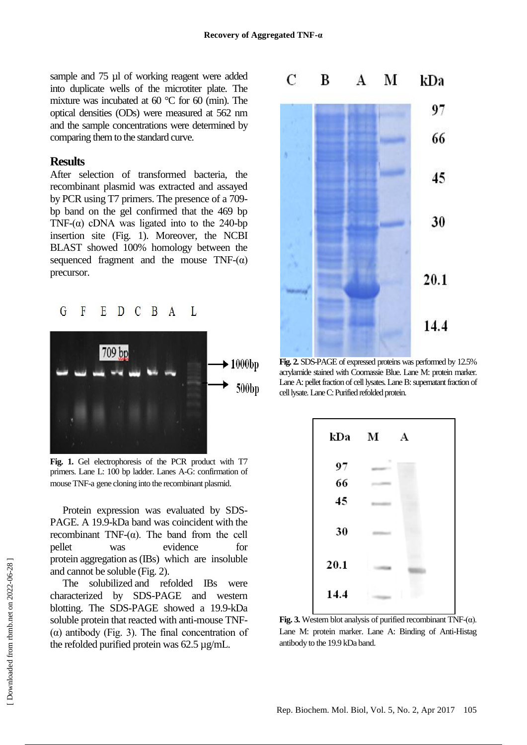sample and 75 µl of working reagent were added into duplicate wells of the microtiter plate. The mixture was incubated at 60 °C for 60 (min). The optical densities (ODs) were measured at 562 nm and the sample concentrations were determined by comparing them to the standard curve.

#### **Results**

After selection of transformed bacteria, the recombinant plasmid was extracted and assayed by PCR using T7 primers. The presence of a 709 bp band on the gel confirmed that the 469 bp TNF- $(\alpha)$  cDNA was ligated into to the 240-bp insertion site (Fig. 1). Moreover, the NCBI BLAST showed 100% homology between the sequenced fragment and the mouse  $TNF-(\alpha)$ precursor.



**Fig. 1.** Gel electrophoresis of the PCR product with T7 primers. Lane L: 100 bp ladder. Lanes A-G: confirmation of mouse TNF-a gene cloning into the recombinant plasmid.

Protein expression was evaluated by SDS-PAGE. A 19.9-kDa band was coincident with the recombinant TNF-(α). The band from the cell pellet was evidence for protein aggregation as (IBs) which are insoluble and cannot be soluble (Fig. 2).

The solubilized and refolded IBs were characterized by SDS-PAGE and western blotting. The SDS-PAGE showed a 19.9-kDa soluble protein that reacted with anti-mouse TNF- (α) antibody (Fig. 3). The final concentration of the refolded purified protein was 62.5 µg/mL.



**Fig. 2.** SDS-PAGE of expressed proteins was performed by 12.5% acrylamide stained with Coomassie Blue. Lane M: protein marker. Lane A: pellet fraction of cell lysates. Lane B: supernatant fraction of cell lysate. Lane C: Purified refolded protein.



**Fig. 3.** Western blot analysis of purified recombinant  $TNF-(\alpha)$ . Lane M: protein marker. Lane A: Binding of Anti-Histag antibody to the 19.9 kDa band.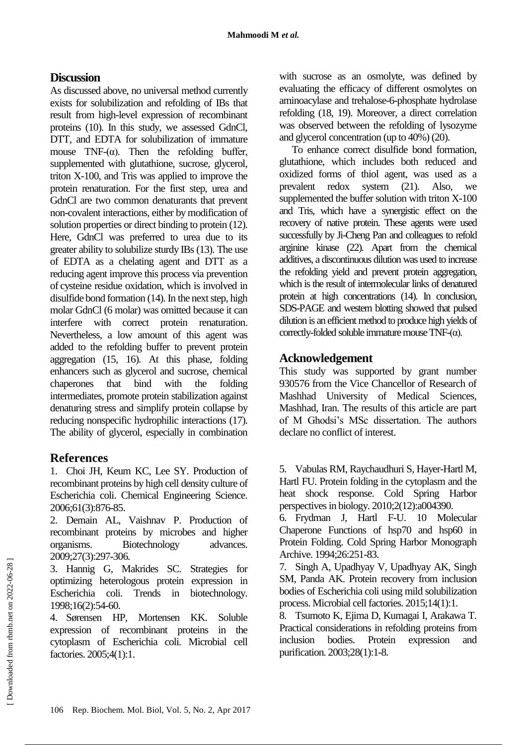## **Discussion**

As discussed above, no universal method currently exists for solubilization and refolding of IBs that result from high-level expression of recombinant proteins (10). In this study, we assessed GdnCl, DTT, and EDTA for solubilization of immature mouse  $TNF-(\alpha)$ . Then the refolding buffer, supplemented with glutathione, sucrose, glycerol, triton X-100, and Tris was applied to improve the protein renaturation. For the first step, urea and GdnCl are two common denaturants that prevent non-covalent interactions, either by modification of solution properties or direct binding to protein (12). Here, GdnCl was preferred to urea due to its greater ability to solubilize sturdy IBs (13). The use of EDTA as a chelating agent and DTT as a reducing agent improve this process via prevention of [cysteine residue oxidation,](http://www.jbc.org/content/273/30/18898.short) which is involved in disulfide bond formation (14). In the next step, high molar GdnCl (6 molar) was omitted because it can interfere with correct protein renaturation. Nevertheless, a low amount of this agent was added to the refolding buffer to prevent protein aggregation (15, 16). At this phase, folding enhancers such as glycerol and sucrose, chemical chaperones that bind with the folding intermediates, promote protein stabilization against denaturing stress and simplify protein collapse by reducing nonspecific hydrophilic interactions (17). The ability of glycerol, especially in combination

## **References**

1. Choi JH, Keum KC, Lee SY. Production of recombinant proteins by high cell density culture of Escherichia coli. Chemical Engineering Science. 2006;61(3):876-85.

2. Demain AL, Vaishnav P. Production of recombinant proteins by microbes and higher organisms. Biotechnology advances. 2009;27(3):297-306.

3. Hannig G, Makrides SC. Strategies for optimizing heterologous protein expression in Escherichia coli. Trends in biotechnology. 1998;16(2):54-60.

4. Sørensen HP, Mortensen KK. Soluble expression of recombinant proteins in the cytoplasm of Escherichia coli. Microbial cell factories. 2005;4(1):1.

with sucrose as an osmolyte, was defined by evaluating the efficacy of different osmolytes on aminoacylase and trehalose-6-phosphate hydrolase refolding (18, 19). Moreover, a direct correlation was observed between the refolding of lysozyme and glycerol concentration (up to 40%) (20).

To enhance correct disulfide bond formation, glutathione, which includes both reduced and oxidized forms of thiol agent, was used as a prevalent redox system (21). Also, we supplemented the buffer solution with triton X-100 and Tris, which have a synergistic effect on the recovery of native protein. These agents were used successfully by Ji-Cheng Pan and colleagues to refold arginine kinase (22). Apart from the chemical additives, a discontinuous dilution was used to increase the refolding yield and prevent protein aggregation, which is the result of intermolecular links of denatured protein at high concentrations (14). In conclusion, SDS-PAGE and western blotting showed that pulsed dilution is an efficient method to produce high yields of correctly-folded soluble immature mouse  $TNF-(\alpha)$ .

## **Acknowledgement**

This study was supported by grant number 930576 from the Vice Chancellor of Research of Mashhad University of Medical Sciences, Mashhad, Iran. The results of this article are part of M Ghodsi's MSc dissertation. The authors declare no conflict of interest.

5. Vabulas RM, Raychaudhuri S, Hayer-Hartl M, Hartl FU. Protein folding in the cytoplasm and the heat shock response. Cold Spring Harbor perspectives in biology. 2010;2(12):a004390.

6. Frydman J, Hartl F-U. 10 Molecular Chaperone Functions of hsp70 and hsp60 in Protein Folding. Cold Spring Harbor Monograph Archive. 1994;26:251-83.

7. Singh A, Upadhyay V, Upadhyay AK, Singh SM, Panda AK. Protein recovery from inclusion bodies of Escherichia coli using mild solubilization process. Microbial cell factories. 2015;14(1):1.

8. Tsumoto K, Ejima D, Kumagai I, Arakawa T. Practical considerations in refolding proteins from inclusion bodies. Protein expression and purification. 2003;28(1):1-8.